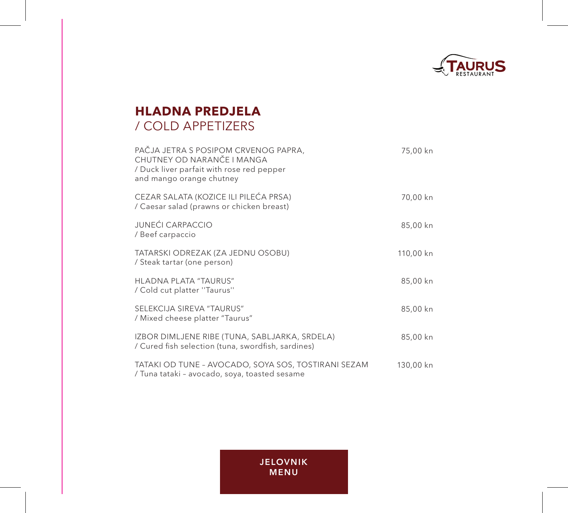

# **HLADNA PREDJELA** / COLD APPETIZERS

| PAČJA JETRA S POSIPOM CRVENOG PAPRA,<br>CHUTNEY OD NARANČE I MANGA<br>/ Duck liver parfait with rose red pepper<br>and mango orange chutney | 75,00 kn  |
|---------------------------------------------------------------------------------------------------------------------------------------------|-----------|
| CEZAR SALATA (KOZICE ILI PILEĆA PRSA)<br>/ Caesar salad (prawns or chicken breast)                                                          | 70,00 kn  |
| <b>JUNEĆI CARPACCIO</b><br>/ Beef carpaccio                                                                                                 | 85,00 kn  |
| TATARSKI ODREZAK (ZA JEDNU OSOBU)<br>/ Steak tartar (one person)                                                                            | 110,00 kn |
| HLADNA PLATA "TAURUS"<br>/ Cold cut platter "Taurus"                                                                                        | 85,00 kn  |
| SELEKCIJA SIREVA "TAURUS"<br>/ Mixed cheese platter "Taurus"                                                                                | 85,00 kn  |
| IZBOR DIMLJENE RIBE (TUNA, SABLJARKA, SRDELA)<br>/ Cured fish selection (tuna, swordfish, sardines)                                         | 85,00 kn  |
| TATAKI OD TUNE - AVOCADO, SOYA SOS, TOSTIRANI SEZAM<br>/ Tuna tataki - avocado, soya, toasted sesame                                        | 130,00 kn |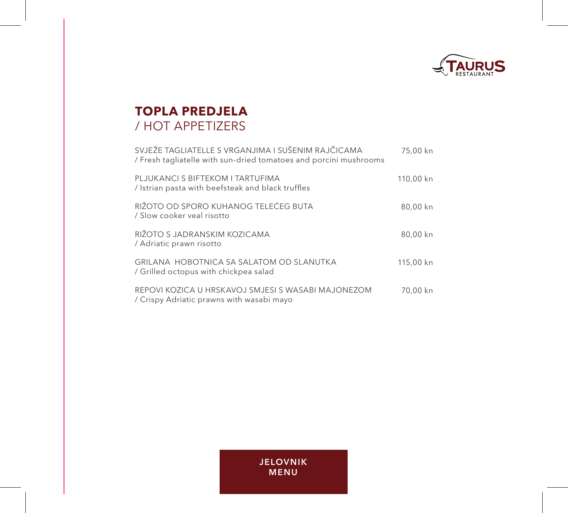

# **TOPLA PREDJELA** / HOT APPETIZERS

| SVJEŽE TAGLIATELLE S VRGANJIMA I SUŠENIM RAJČICAMA<br>/ Fresh tagliatelle with sun-dried tomatoes and porcini mushrooms | 75,00 kn  |
|-------------------------------------------------------------------------------------------------------------------------|-----------|
| PLJUKANCI S BIFTEKOM I TARTUFIMA<br>/ Istrian pasta with beefsteak and black truffles                                   | 110,00 kn |
| RIŽOTO OD SPORO KUHANOG TELEĆEG BUTA<br>/ Slow cooker yeal risotto                                                      | 80,00 kn  |
| RIŽOTO S JADRANSKIM KOZICAMA<br>/ Adriatic prawn risotto                                                                | 80,00 kn  |
| GRILANA HOBOTNICA SA SALATOM OD SLANUTKA<br>/ Grilled octopus with chickpea salad                                       | 115,00 kn |
| REPOVI KOZICA U HRSKAVOJ SMJESI S WASABI MAJONEZOM<br>/ Crispy Adriatic prawns with wasabi mayo                         | 70,00 kn  |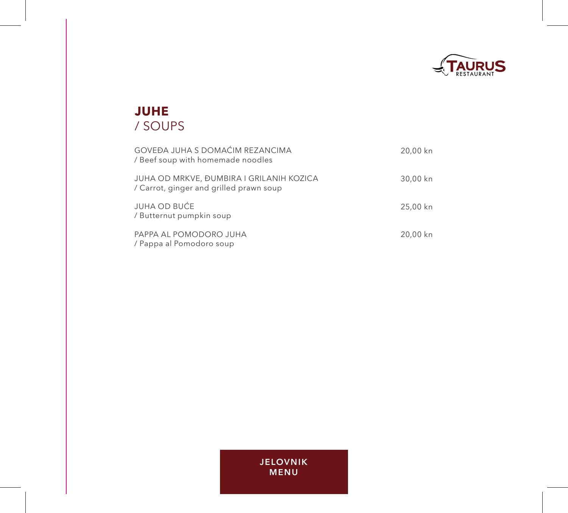

# **JUHE** / SOUPS

| GOVEĐA JUHA S DOMAĆIM REZANCIMA<br>/ Beef soup with homemade noodles                | 20,00 kn |
|-------------------------------------------------------------------------------------|----------|
| JUHA OD MRKVE, ĐUMBIRA I GRILANIH KOZICA<br>/ Carrot, ginger and grilled prawn soup | 30,00 kn |
| JUHA OD BUĆE<br>/ Butternut pumpkin soup                                            | 25,00 kn |
| PAPPA AL POMODORO JUHA<br>/ Pappa al Pomodoro soup                                  | 20,00 kn |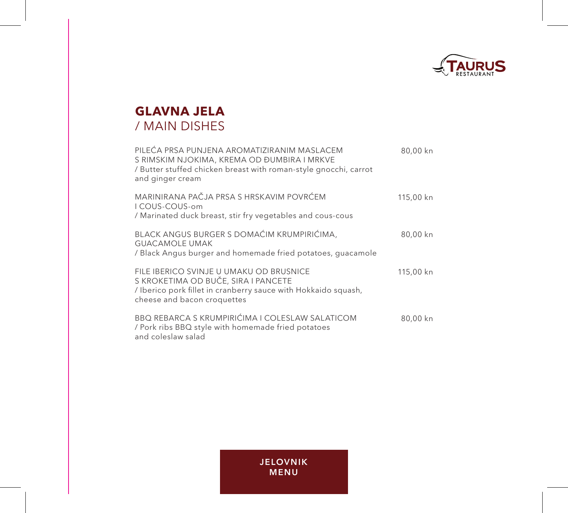

## **GLAVNA JELA** / MAIN DISHES

| PILEĆA PRSA PUNJENA AROMATIZIRANIM MASLACEM<br>S RIMSKIM NJOKIMA, KREMA OD ĐUMBIRA I MRKVE<br>/ Butter stuffed chicken breast with roman-style gnocchi, carrot<br>and ginger cream | 80,00 kn  |
|------------------------------------------------------------------------------------------------------------------------------------------------------------------------------------|-----------|
| MARINIRANA PAČJA PRSA S HRSKAVIM POVRĆEM<br>I COUS-COUS-om<br>/ Marinated duck breast, stir fry vegetables and cous-cous                                                           | 115,00 kn |
| BLACK ANGUS BURGER S DOMAĆIM KRUMPIRIĆIMA,<br><b>GUACAMOLE UMAK</b><br>/ Black Angus burger and homemade fried potatoes, quacamole                                                 | 80,00 kn  |
| FILE IBERICO SVINJE U UMAKU OD BRUSNICE<br>S KROKETIMA OD BUČE, SIRA I PANCETE<br>/ Iberico pork fillet in cranberry sauce with Hokkaido squash,<br>cheese and bacon croquettes    | 115,00 kn |
| BBQ REBARCA S KRUMPIRIĆIMA I COLESLAW SALATICOM<br>/ Pork ribs BBQ style with homemade fried potatoes<br>and coleslaw salad                                                        | 80,00 kn  |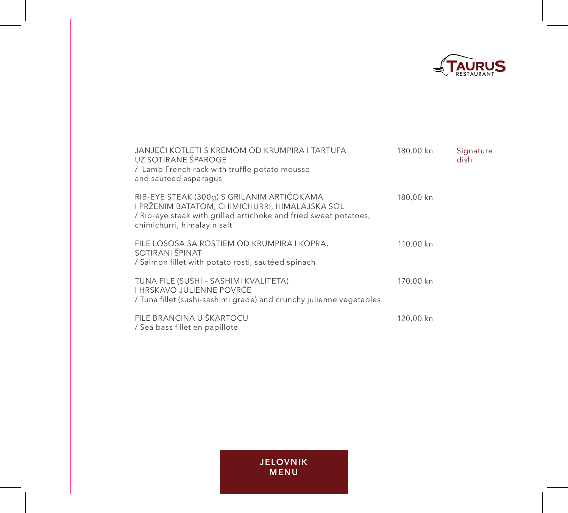

| JANJEĆI KOTLETI S KREMOM OD KRUMPIRA I TARTUFA<br>UZ SOTIRANE ŠPAROGE<br>/ Lamb French rack with truffle potato mousse<br>and sauteed asparagus                                                 | 180,00 kn | Signature<br>dish |
|-------------------------------------------------------------------------------------------------------------------------------------------------------------------------------------------------|-----------|-------------------|
| RIB-EYE STEAK (300g) S GRILANIM ARTIČOKAMA<br>I PRŽENIM BATATOM, CHIMICHURRI, HIMALAJSKA SOL<br>/ Rib-eye steak with grilled artichoke and fried sweet potatoes,<br>chimichurri, himalayin salt | 180,00 kn |                   |
| FILE LOSOSA SA ROSTIEM OD KRUMPIRA I KOPRA,<br>SOTIRANI ŠPINAT<br>/ Salmon fillet with potato rosti, sautéed spinach                                                                            | 110,00 kn |                   |
| TUNA FILE (SUSHI - SASHIMI KVALITETA)<br>I HRSKAVO JULIENNE POVRĆE<br>/ Tuna fillet (sushi-sashimi grade) and crunchy julienne vegetables                                                       | 170,00 kn |                   |
| FILE BRANCINA U ŠKARTOCU<br>/ Sea bass fillet en papillote                                                                                                                                      | 120,00 kn |                   |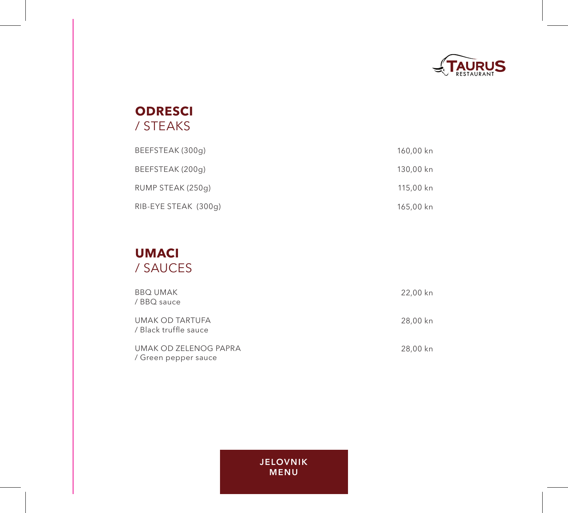

### **ODRESCI** / STEAKS

| BEEFSTEAK (300g)     | 160,00 kn |
|----------------------|-----------|
| BEEFSTEAK (200g)     | 130,00 kn |
| RUMP STEAK (250g)    | 115,00 kn |
| RIB-EYE STEAK (300g) | 165,00 kn |

#### **UMACI** / SAUCES

| <b>BBQ UMAK</b><br>/ BBQ sauce                | 22,00 kn |
|-----------------------------------------------|----------|
| UMAK OD TARTUFA<br>/ Black truffle sauce      | 28,00 kn |
| UMAK OD ZELENOG PAPRA<br>/ Green pepper sauce | 28,00 kn |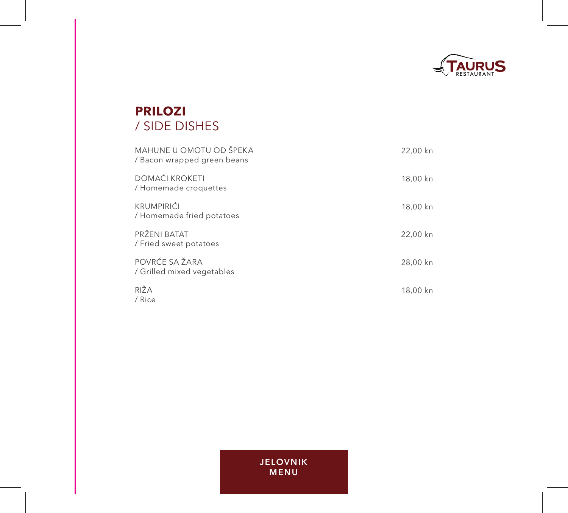

# **PRILOZI** / SIDE DISHES

| MAHUNE U OMOTU OD ŠPEKA<br>/ Bacon wrapped green beans | 22,00 kn |
|--------------------------------------------------------|----------|
| <b>DOMAĆI KROKETI</b><br>/ Homemade croquettes         | 18,00 kn |
| <b>KRUMPIRIĆI</b><br>/ Homemade fried potatoes         | 18,00 kn |
| PRŽENI BATAT<br>/ Fried sweet potatoes                 | 22,00 kn |
| POVRĆE SA ŽARA<br>/ Grilled mixed vegetables           | 28,00 kn |
| RIŽA<br>/ Rice                                         | 18,00 kn |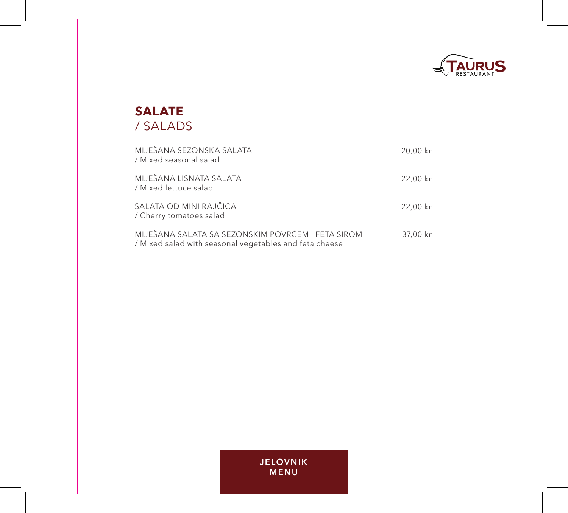

#### **SALATE** / SALADS

| MIJEŠANA SEZONSKA SALATA<br>/ Mixed seasonal salad                                                          | 20,00 kn |
|-------------------------------------------------------------------------------------------------------------|----------|
| MIJEŠANA LISNATA SALATA<br>/ Mixed lettuce salad                                                            | 22,00 kn |
| SALATA OD MINI RAJČICA<br>/ Cherry tomatoes salad                                                           | 22,00 kn |
| MIJEŠANA SALATA SA SEZONSKIM POVRĆEM I FETA SIROM<br>/ Mixed salad with seasonal vegetables and feta cheese | 37,00 kn |